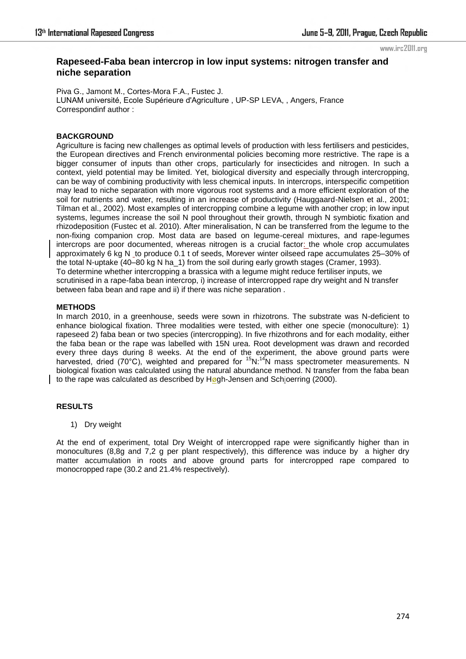# **Rapeseed-Faba bean intercrop in low input systems: nitrogen transfer and niche separation**

Piva G., Jamont M., Cortes-Mora F.A., Fustec J. LUNAM université, Ecole Supérieure d'Agriculture , UP-SP LEVA, , Angers, France Correspondinf author :

# **BACKGROUND**

Agriculture is facing new challenges as optimal levels of production with less fertilisers and pesticides, the European directives and French environmental policies becoming more restrictive. The rape is a bigger consumer of inputs than other crops, particularly for insecticides and nitrogen. In such a context, yield potential may be limited. Yet, biological diversity and especially through intercropping, can be way of combining productivity with less chemical inputs. In intercrops, interspecific competition may lead to niche separation with more vigorous root systems and a more efficient exploration of the soil for nutrients and water, resulting in an increase of productivity (Hauggaard-Nielsen et al., 2001; Tilman et al., 2002). Most examples of intercropping combine a legume with another crop; in low input systems, legumes increase the soil N pool throughout their growth, through N symbiotic fixation and rhizodeposition (Fustec et al. 2010). After mineralisation, N can be transferred from the legume to the non-fixing companion crop. Most data are based on legume-cereal mixtures, and rape-legumes intercrops are poor documented, whereas nitrogen is a crucial factor: the whole crop accumulates approximately 6 kg N to produce 0.1 t of seeds, Morever winter oilseed rape accumulates 25–30% of the total N-uptake (40–80 kg N ha\_1) from the soil during early growth stages (Cramer, 1993). To determine whether intercropping a brassica with a legume might reduce fertiliser inputs, we scrutinised in a rape-faba bean intercrop, i) increase of intercropped rape dry weight and N transfer between faba bean and rape and ii) if there was niche separation .

#### **METHODS**

In march 2010, in a greenhouse, seeds were sown in rhizotrons. The substrate was N-deficient to enhance biological fixation. Three modalities were tested, with either one specie (monoculture): 1) rapeseed 2) faba bean or two species (intercropping). In five rhizothrons and for each modality, either the faba bean or the rape was labelled with 15N urea. Root development was drawn and recorded every three days during 8 weeks. At the end of the experiment, the above ground parts were harvested, dried (70°C), weighted and prepared for <sup>15</sup>N:<sup>14</sup>N mass spectrometer measurements. N biological fixation was calculated using the natural abundance method. N transfer from the faba bean to the rape was calculated as described by  $H\omega$ gh-Jensen and Schjoerring (2000).

# **RESULTS**

1) Dry weight

At the end of experiment, total Dry Weight of intercropped rape were significantly higher than in monocultures (8,8g and 7,2 g per plant respectively), this difference was induce by a higher dry matter accumulation in roots and above ground parts for intercropped rape compared to monocropped rape (30.2 and 21.4% respectively).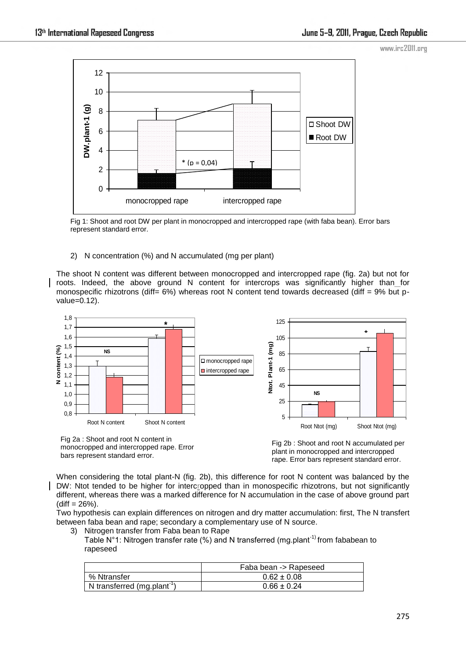

Fig 1: Shoot and root DW per plant in monocropped and intercropped rape (with faba bean). Error bars represent standard error.

# 2) N concentration (%) and N accumulated (mg per plant)

The shoot N content was different between monocropped and intercropped rape (fig. 2a) but not for roots. Indeed, the above ground N content for intercrops was significantly higher than for monospecific rhizotrons (diff=  $6\%$ ) whereas root N content tend towards decreased (diff =  $9\%$  but pvalue=0.12).



monocropped and intercropped rape. Error bars represent standard error.

Fig 2b : Shoot and root N accumulated per plant in monocropped and intercropped rape. Error bars represent standard error.

When considering the total plant-N (fig. 2b), this difference for root N content was balanced by the DW: Ntot tended to be higher for intercropped than in monospecific rhizotrons, but not significantly different, whereas there was a marked difference for N accumulation in the case of above ground part  $(diff = 26\%).$ 

Two hypothesis can explain differences on nitrogen and dry matter accumulation: first, The N transfert between faba bean and rape; secondary a complementary use of N source.

3) Nitrogen transfer from Faba bean to Rape

Table N°1: Nitrogen transfer rate (%) and N transferred (mg.plant<sup>-1)</sup> from fababean to rapeseed

|                                         | Faba bean -> Rapeseed |  |
|-----------------------------------------|-----------------------|--|
| % Ntransfer                             | $0.62 \pm 0.08$       |  |
| N transferred (mg.plant <sup>-1</sup> ) | $0.66 \pm 0.24$       |  |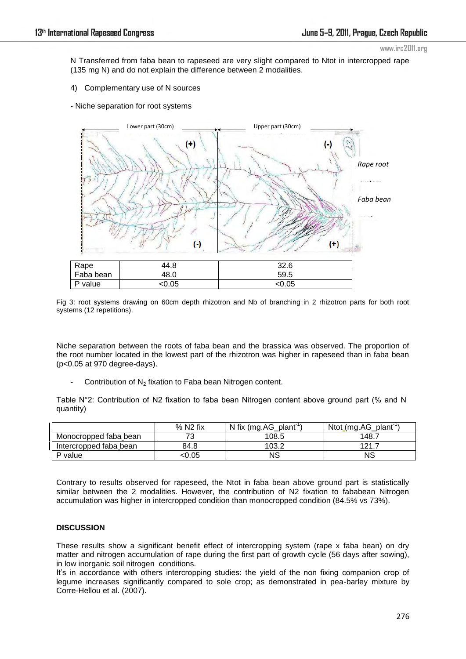N Transferred from faba bean to rapeseed are very slight compared to Ntot in intercropped rape (135 mg N) and do not explain the difference between 2 modalities.

- 4) Complementary use of N sources
- Niche separation for root systems



Fig 3: root systems drawing on 60cm depth rhizotron and Nb of branching in 2 rhizotron parts for both root systems (12 repetitions).

Niche separation between the roots of faba bean and the brassica was observed. The proportion of the root number located in the lowest part of the rhizotron was higher in rapeseed than in faba bean (p<0.05 at 970 degree-days).

Contribution of N<sub>2</sub> fixation to Faba bean Nitrogen content.

Table N°2: Contribution of N2 fixation to faba bean Nitrogen content above ground part (% and N quantity)

|                        | $%$ N <sub>2</sub> fix | N fix (mg. AG plant <sup>-1</sup> | Ntot (mg.AG plant" |
|------------------------|------------------------|-----------------------------------|--------------------|
| Monocropped faba bean  |                        | 108.5                             | 148.7              |
| Intercropped faba bean | 84.8                   | 103.2                             | $121 -$            |
| P value                | <0.05                  | NS                                | NS                 |

Contrary to results observed for rapeseed, the Ntot in faba bean above ground part is statistically similar between the 2 modalities. However, the contribution of N2 fixation to fababean Nitrogen accumulation was higher in intercropped condition than monocropped condition (84.5% vs 73%).

# **DISCUSSION**

These results show a significant benefit effect of intercropping system (rape x faba bean) on dry matter and nitrogen accumulation of rape during the first part of growth cycle (56 days after sowing), in low inorganic soil nitrogen conditions.

It's in accordance with others intercropping studies: the yield of the non fixing companion crop of legume increases significantly compared to sole crop; as demonstrated in pea-barley mixture by Corre-Hellou et al. (2007).